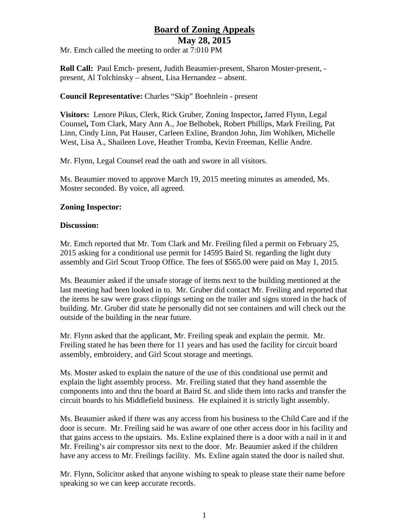# **Board of Zoning Appeals**

**May 28, 2015**

Mr. Emch called the meeting to order at 7:010 PM

**Roll Call:** Paul Emch- present, Judith Beaumier-present, Sharon Moster-present, present, Al Tolchinsky – absent, Lisa Hernandez – absent.

#### **Council Representative:** Charles "Skip" Boehnlein - present

**Visitors:** Lenore Pikus, Clerk, Rick Gruber, Zoning Inspector**,** Jarred Flynn, Legal Counsel**,** Tom Clark, Mary Ann A., Joe Belhobek, Robert Phillips, Mark Freiling, Pat Linn, Cindy Linn, Pat Hauser, Carleen Exline, Brandon John, Jim Wohlken, Michelle West, Lisa A., Shaileen Love, Heather Tromba, Kevin Freeman, Kellie Andre.

Mr. Flynn, Legal Counsel read the oath and swore in all visitors.

Ms. Beaumier moved to approve March 19, 2015 meeting minutes as amended, Ms. Moster seconded. By voice, all agreed.

## **Zoning Inspector:**

#### **Discussion:**

Mr. Emch reported that Mr. Tom Clark and Mr. Freiling filed a permit on February 25, 2015 asking for a conditional use permit for 14595 Baird St. regarding the light duty assembly and Girl Scout Troop Office. The fees of \$565.00 were paid on May 1, 2015.

Ms. Beaumier asked if the unsafe storage of items next to the building mentioned at the last meeting had been looked in to. Mr. Gruber did contact Mr. Freiling and reported that the items he saw were grass clippings setting on the trailer and signs stored in the back of building. Mr. Gruber did state he personally did not see containers and will check out the outside of the building in the near future.

Mr. Flynn asked that the applicant, Mr. Freiling speak and explain the permit. Mr. Freiling stated he has been there for 11 years and has used the facility for circuit board assembly, embroidery, and Girl Scout storage and meetings.

Ms. Moster asked to explain the nature of the use of this conditional use permit and explain the light assembly process. Mr. Freiling stated that they hand assemble the components into and thru the board at Baird St. and slide them into racks and transfer the circuit boards to his Middlefield business. He explained it is strictly light assembly.

Ms. Beaumier asked if there was any access from his business to the Child Care and if the door is secure. Mr. Freiling said he was aware of one other access door in his facility and that gains access to the upstairs. Ms. Exline explained there is a door with a nail in it and Mr. Freiling's air compressor sits next to the door. Mr. Beaumier asked if the children have any access to Mr. Freilings facility. Ms. Exline again stated the door is nailed shut.

Mr. Flynn, Solicitor asked that anyone wishing to speak to please state their name before speaking so we can keep accurate records.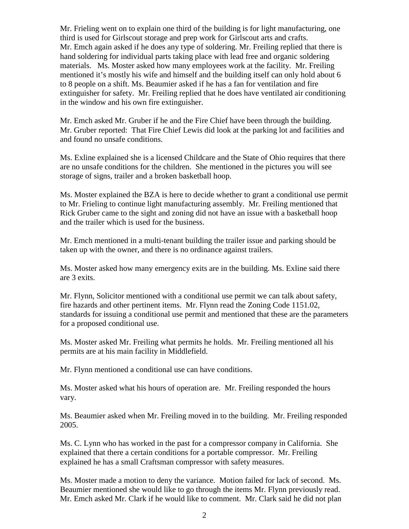Mr. Frieling went on to explain one third of the building is for light manufacturing, one third is used for Girlscout storage and prep work for Girlscout arts and crafts. Mr. Emch again asked if he does any type of soldering. Mr. Freiling replied that there is hand soldering for individual parts taking place with lead free and organic soldering materials. Ms. Moster asked how many employees work at the facility. Mr. Freiling mentioned it's mostly his wife and himself and the building itself can only hold about 6 to 8 people on a shift. Ms. Beaumier asked if he has a fan for ventilation and fire extinguisher for safety. Mr. Freiling replied that he does have ventilated air conditioning in the window and his own fire extinguisher.

Mr. Emch asked Mr. Gruber if he and the Fire Chief have been through the building. Mr. Gruber reported: That Fire Chief Lewis did look at the parking lot and facilities and and found no unsafe conditions.

Ms. Exline explained she is a licensed Childcare and the State of Ohio requires that there are no unsafe conditions for the children. She mentioned in the pictures you will see storage of signs, trailer and a broken basketball hoop.

Ms. Moster explained the BZA is here to decide whether to grant a conditional use permit to Mr. Frieling to continue light manufacturing assembly. Mr. Freiling mentioned that Rick Gruber came to the sight and zoning did not have an issue with a basketball hoop and the trailer which is used for the business.

Mr. Emch mentioned in a multi-tenant building the trailer issue and parking should be taken up with the owner, and there is no ordinance against trailers.

Ms. Moster asked how many emergency exits are in the building. Ms. Exline said there are 3 exits.

Mr. Flynn, Solicitor mentioned with a conditional use permit we can talk about safety, fire hazards and other pertinent items. Mr. Flynn read the Zoning Code 1151.02, standards for issuing a conditional use permit and mentioned that these are the parameters for a proposed conditional use.

Ms. Moster asked Mr. Freiling what permits he holds. Mr. Freiling mentioned all his permits are at his main facility in Middlefield.

Mr. Flynn mentioned a conditional use can have conditions.

Ms. Moster asked what his hours of operation are. Mr. Freiling responded the hours vary.

Ms. Beaumier asked when Mr. Freiling moved in to the building. Mr. Freiling responded 2005.

Ms. C. Lynn who has worked in the past for a compressor company in California. She explained that there a certain conditions for a portable compressor. Mr. Freiling explained he has a small Craftsman compressor with safety measures.

Ms. Moster made a motion to deny the variance. Motion failed for lack of second. Ms. Beaumier mentioned she would like to go through the items Mr. Flynn previously read. Mr. Emch asked Mr. Clark if he would like to comment. Mr. Clark said he did not plan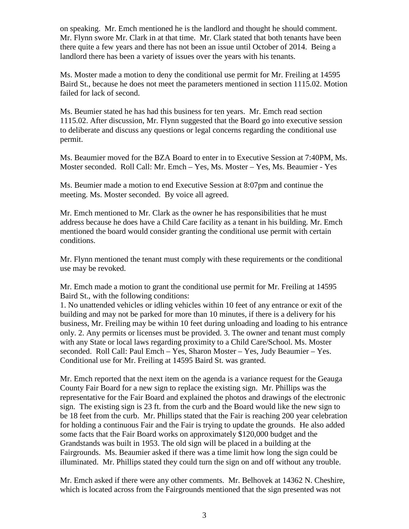on speaking. Mr. Emch mentioned he is the landlord and thought he should comment. Mr. Flynn swore Mr. Clark in at that time. Mr. Clark stated that both tenants have been there quite a few years and there has not been an issue until October of 2014. Being a landlord there has been a variety of issues over the years with his tenants.

Ms. Moster made a motion to deny the conditional use permit for Mr. Freiling at 14595 Baird St., because he does not meet the parameters mentioned in section 1115.02. Motion failed for lack of second.

Ms. Beumier stated he has had this business for ten years. Mr. Emch read section 1115.02. After discussion, Mr. Flynn suggested that the Board go into executive session to deliberate and discuss any questions or legal concerns regarding the conditional use permit.

Ms. Beaumier moved for the BZA Board to enter in to Executive Session at 7:40PM, Ms. Moster seconded. Roll Call: Mr. Emch – Yes, Ms. Moster – Yes, Ms. Beaumier - Yes

Ms. Beumier made a motion to end Executive Session at 8:07pm and continue the meeting. Ms. Moster seconded. By voice all agreed.

Mr. Emch mentioned to Mr. Clark as the owner he has responsibilities that he must address because he does have a Child Care facility as a tenant in his building. Mr. Emch mentioned the board would consider granting the conditional use permit with certain conditions.

Mr. Flynn mentioned the tenant must comply with these requirements or the conditional use may be revoked.

Mr. Emch made a motion to grant the conditional use permit for Mr. Freiling at 14595 Baird St., with the following conditions:

1. No unattended vehicles or idling vehicles within 10 feet of any entrance or exit of the building and may not be parked for more than 10 minutes, if there is a delivery for his business, Mr. Freiling may be within 10 feet during unloading and loading to his entrance only. 2. Any permits or licenses must be provided. 3. The owner and tenant must comply with any State or local laws regarding proximity to a Child Care/School. Ms. Moster seconded. Roll Call: Paul Emch – Yes, Sharon Moster – Yes, Judy Beaumier – Yes. Conditional use for Mr. Freiling at 14595 Baird St. was granted.

Mr. Emch reported that the next item on the agenda is a variance request for the Geauga County Fair Board for a new sign to replace the existing sign. Mr. Phillips was the representative for the Fair Board and explained the photos and drawings of the electronic sign. The existing sign is 23 ft. from the curb and the Board would like the new sign to be 18 feet from the curb. Mr. Phillips stated that the Fair is reaching 200 year celebration for holding a continuous Fair and the Fair is trying to update the grounds. He also added some facts that the Fair Board works on approximately \$120,000 budget and the Grandstands was built in 1953. The old sign will be placed in a building at the Fairgrounds. Ms. Beaumier asked if there was a time limit how long the sign could be illuminated. Mr. Phillips stated they could turn the sign on and off without any trouble.

Mr. Emch asked if there were any other comments. Mr. Belhovek at 14362 N. Cheshire, which is located across from the Fairgrounds mentioned that the sign presented was not